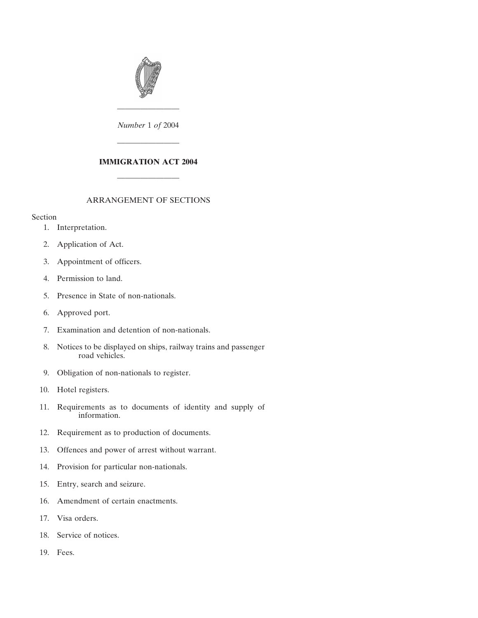

*Number* 1 *of* 2004

————————

————————

## **IMMIGRATION ACT 2004**

————————

#### ARRANGEMENT OF SECTIONS

#### Section

- [1. Interpretation.](#page-2-0)
- [2. Application of Act.](#page-3-0)
- [3. Appointment of officers.](#page-4-0)
- [4. Permission to land.](#page-5-0)
- [5. Presence in State of non-nationals.](#page-7-0)
- [6. Approved port.](#page-8-0)
- [7. Examination and detention of non-nationals.](#page-8-0)
- [8. Notices to be displayed on ships, railway trains and passenger](#page-9-0) [road vehicles.](#page-9-0)
- [9. Obligation of non-nationals to register.](#page-9-0)
- [10. Hotel registers.](#page-11-0)
- [11. Requirements as to documents of identity and supply of](#page-11-0) [information.](#page-11-0)
- [12. Requirement as to production of documents.](#page-11-0)
- [13. Offences and power of arrest without warrant.](#page-12-0)
- [14. Provision for particular non-nationals.](#page-12-0)
- [15. Entry, search and seizure.](#page-12-0)
- [16. Amendment of certain enactments.](#page-13-0)
- [17. Visa orders.](#page-14-0)
- [18. Service of notices.](#page-14-0)
- [19. Fees.](#page-15-0)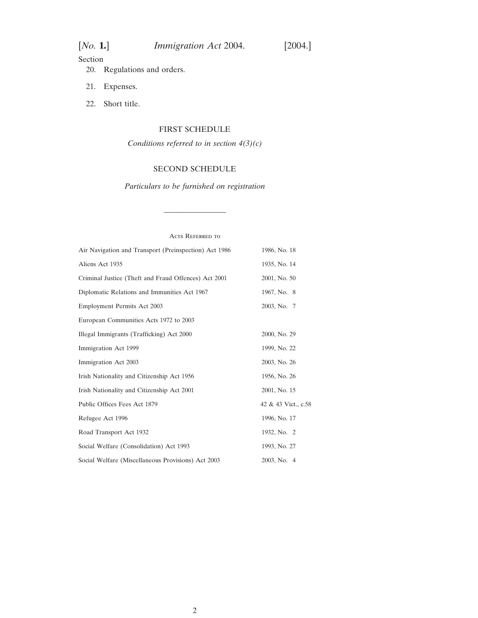## Section

- [20. Regulations and orders.](#page-15-0)
- [21. Expenses.](#page-16-0)
- [22. Short title.](#page-16-0)

# [FIRST SCHEDULE](#page-16-0)

*Conditions referred to in section 4(3)(c)*

## [SECOND SCHEDULE](#page-16-0)

*Particulars to be furnished on registration*

————————

| <b>ACTS REFERRED TO</b>                               |                     |
|-------------------------------------------------------|---------------------|
| Air Navigation and Transport (Preinspection) Act 1986 | 1986, No. 18        |
| Aliens Act 1935                                       | 1935, No. 14        |
| Criminal Justice (Theft and Fraud Offences) Act 2001  | 2001, No. 50        |
| Diplomatic Relations and Immunities Act 1967          | 1967, No. 8         |
| <b>Employment Permits Act 2003</b>                    | 2003, No. 7         |
| European Communities Acts 1972 to 2003                |                     |
| Illegal Immigrants (Trafficking) Act 2000             | 2000, No. 29        |
| <b>Immigration Act 1999</b>                           | 1999, No. 22        |
| Immigration Act 2003                                  | 2003, No. 26        |
| Irish Nationality and Citizenship Act 1956            | 1956, No. 26        |
| Irish Nationality and Citizenship Act 2001            | 2001, No. 15        |
| Public Offices Fees Act 1879                          | 42 & 43 Vict., c.58 |
| Refugee Act 1996                                      | 1996, No. 17        |
| Road Transport Act 1932                               | 1932, No. 2         |
| Social Welfare (Consolidation) Act 1993               | 1993, No. 27        |
| Social Welfare (Miscellaneous Provisions) Act 2003    | 2003, No. 4         |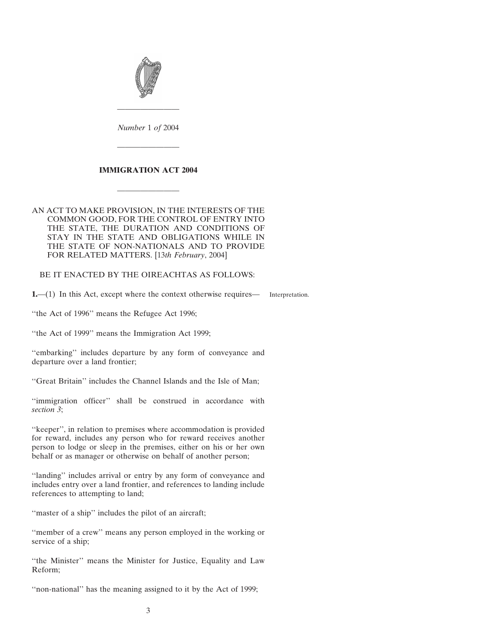<span id="page-2-0"></span>

*Number* 1 *of* 2004

————————

#### **IMMIGRATION ACT 2004**

————————

————————

### AN ACT TO MAKE PROVISION, IN THE INTERESTS OF THE COMMON GOOD, FOR THE CONTROL OF ENTRY INTO THE STATE, THE DURATION AND CONDITIONS OF STAY IN THE STATE AND OBLIGATIONS WHILE IN THE STATE OF NON-NATIONALS AND TO PROVIDE FOR RELATED MATTERS. [13*th February*, 2004]

BE IT ENACTED BY THE OIREACHTAS AS FOLLOWS:

**1.**—(1) In this Act, except where the context otherwise requires— Interpretation.

''the Act of 1996'' means the Refugee Act 1996;

''the Act of 1999'' means the Immigration Act 1999;

''embarking'' includes departure by any form of conveyance and departure over a land frontier;

''Great Britain'' includes the Channel Islands and the Isle of Man;

''immigration officer'' shall be construed in accordance with *section 3*;

"keeper", in relation to premises where accommodation is provided for reward, includes any person who for reward receives another person to lodge or sleep in the premises, either on his or her own behalf or as manager or otherwise on behalf of another person;

''landing'' includes arrival or entry by any form of conveyance and includes entry over a land frontier, and references to landing include references to attempting to land;

"master of a ship" includes the pilot of an aircraft;

''member of a crew'' means any person employed in the working or service of a ship;

''the Minister'' means the Minister for Justice, Equality and Law Reform;

"non-national" has the meaning assigned to it by the Act of 1999;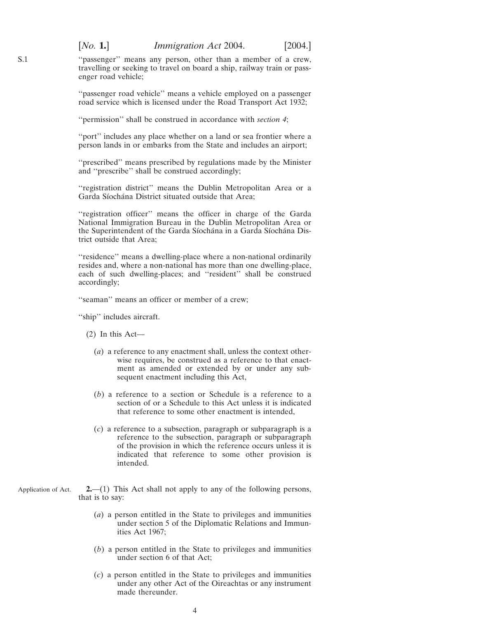"passenger" means any person, other than a member of a crew, travelling or seeking to travel on board a ship, railway train or passenger road vehicle;

"passenger road vehicle" means a vehicle employed on a passenger road service which is licensed under the Road Transport Act 1932;

''permission'' shall be construed in accordance with *section 4*;

"port" includes any place whether on a land or sea frontier where a person lands in or embarks from the State and includes an airport;

''prescribed'' means prescribed by regulations made by the Minister and ''prescribe'' shall be construed accordingly;

''registration district'' means the Dublin Metropolitan Area or a Garda Síochána District situated outside that Area;

"registration officer" means the officer in charge of the Garda National Immigration Bureau in the Dublin Metropolitan Area or the Superintendent of the Garda Síochána in a Garda Síochána District outside that Area;

''residence'' means a dwelling-place where a non-national ordinarily resides and, where a non-national has more than one dwelling-place, each of such dwelling-places; and ''resident'' shall be construed accordingly;

''seaman'' means an officer or member of a crew;

''ship'' includes aircraft.

(2) In this Act—

- (*a*) a reference to any enactment shall, unless the context otherwise requires, be construed as a reference to that enactment as amended or extended by or under any subsequent enactment including this Act,
- (*b*) a reference to a section or Schedule is a reference to a section of or a Schedule to this Act unless it is indicated that reference to some other enactment is intended,
- (*c*) a reference to a subsection, paragraph or subparagraph is a reference to the subsection, paragraph or subparagraph of the provision in which the reference occurs unless it is indicated that reference to some other provision is intended.
- Application of Act. **2.**—(1) This Act shall not apply to any of the following persons, that is to say:
	- (*a*) a person entitled in the State to privileges and immunities under section 5 of the Diplomatic Relations and Immunities Act 1967;
	- (*b*) a person entitled in the State to privileges and immunities under section 6 of that Act;
	- (*c*) a person entitled in the State to privileges and immunities under any other Act of the Oireachtas or any instrument made thereunder.

<span id="page-3-0"></span>S.1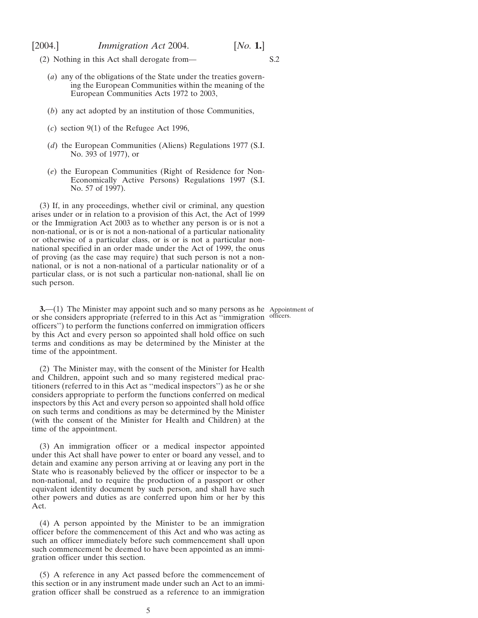<span id="page-4-0"></span>

- (2) Nothing in this Act shall derogate from— S.2
	- (*a*) any of the obligations of the State under the treaties governing the European Communities within the meaning of the European Communities Acts 1972 to 2003,
	- (*b*) any act adopted by an institution of those Communities,
	- (*c*) section 9(1) of the Refugee Act 1996,
	- (*d*) the European Communities (Aliens) Regulations 1977 (S.I. No. 393 of 1977), or
	- (*e*) the European Communities (Right of Residence for Non-Economically Active Persons) Regulations 1997 (S.I. No. 57 of 1997).

(3) If, in any proceedings, whether civil or criminal, any question arises under or in relation to a provision of this Act, the Act of 1999 or the Immigration Act 2003 as to whether any person is or is not a non-national, or is or is not a non-national of a particular nationality or otherwise of a particular class, or is or is not a particular nonnational specified in an order made under the Act of 1999, the onus of proving (as the case may require) that such person is not a nonnational, or is not a non-national of a particular nationality or of a particular class, or is not such a particular non-national, shall lie on such person.

**3.**—(1) The Minister may appoint such and so many persons as he Appointment of or she considers appropriate (referred to in this Act as ''immigration officers'') to perform the functions conferred on immigration officers by this Act and every person so appointed shall hold office on such terms and conditions as may be determined by the Minister at the time of the appointment.

(2) The Minister may, with the consent of the Minister for Health and Children, appoint such and so many registered medical practitioners (referred to in this Act as ''medical inspectors'') as he or she considers appropriate to perform the functions conferred on medical inspectors by this Act and every person so appointed shall hold office on such terms and conditions as may be determined by the Minister (with the consent of the Minister for Health and Children) at the time of the appointment.

(3) An immigration officer or a medical inspector appointed under this Act shall have power to enter or board any vessel, and to detain and examine any person arriving at or leaving any port in the State who is reasonably believed by the officer or inspector to be a non-national, and to require the production of a passport or other equivalent identity document by such person, and shall have such other powers and duties as are conferred upon him or her by this Act.

(4) A person appointed by the Minister to be an immigration officer before the commencement of this Act and who was acting as such an officer immediately before such commencement shall upon such commencement be deemed to have been appointed as an immigration officer under this section.

(5) A reference in any Act passed before the commencement of this section or in any instrument made under such an Act to an immigration officer shall be construed as a reference to an immigration

officers.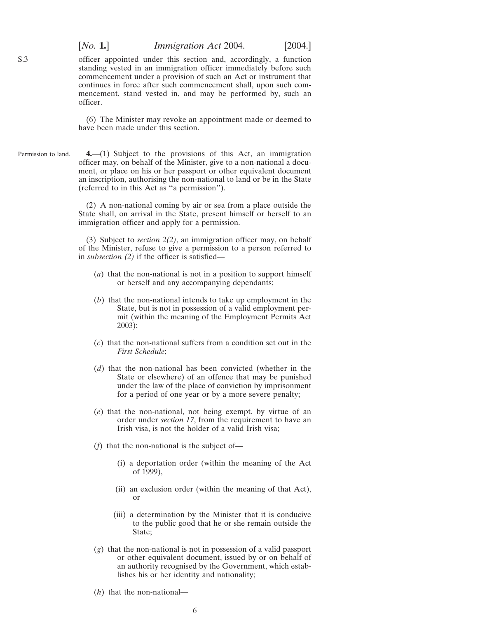[*No.* **1.**] *Immigration Act* 2004. [2004.]

officer appointed under this section and, accordingly, a function standing vested in an immigration officer immediately before such commencement under a provision of such an Act or instrument that continues in force after such commencement shall, upon such commencement, stand vested in, and may be performed by, such an officer.

(6) The Minister may revoke an appointment made or deemed to have been made under this section.

Permission to land. **4.**—(1) Subject to the provisions of this Act, an immigration officer may, on behalf of the Minister, give to a non-national a document, or place on his or her passport or other equivalent document an inscription, authorising the non-national to land or be in the State (referred to in this Act as ''a permission'').

> (2) A non-national coming by air or sea from a place outside the State shall, on arrival in the State, present himself or herself to an immigration officer and apply for a permission.

> (3) Subject to *section 2(2)*, an immigration officer may, on behalf of the Minister, refuse to give a permission to a person referred to in *subsection (2)* if the officer is satisfied—

- (*a*) that the non-national is not in a position to support himself or herself and any accompanying dependants;
- (*b*) that the non-national intends to take up employment in the State, but is not in possession of a valid employment permit (within the meaning of the Employment Permits Act 2003);
- (*c*) that the non-national suffers from a condition set out in the *First Schedule*;
- (*d*) that the non-national has been convicted (whether in the State or elsewhere) of an offence that may be punished under the law of the place of conviction by imprisonment for a period of one year or by a more severe penalty;
- (*e*) that the non-national, not being exempt, by virtue of an order under *section 17*, from the requirement to have an Irish visa, is not the holder of a valid Irish visa;
- (*f*) that the non-national is the subject of—
	- (i) a deportation order (within the meaning of the Act of 1999),
	- (ii) an exclusion order (within the meaning of that Act), or
	- (iii) a determination by the Minister that it is conducive to the public good that he or she remain outside the State;
- (*g*) that the non-national is not in possession of a valid passport or other equivalent document, issued by or on behalf of an authority recognised by the Government, which establishes his or her identity and nationality;
- (*h*) that the non-national—

<span id="page-5-0"></span>S.3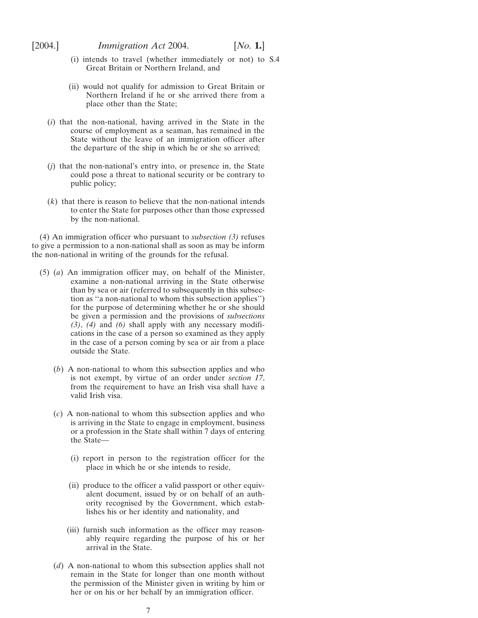- (i) intends to travel (whether immediately or not) to S.4 Great Britain or Northern Ireland, and
- (ii) would not qualify for admission to Great Britain or Northern Ireland if he or she arrived there from a place other than the State;
- (*i*) that the non-national, having arrived in the State in the course of employment as a seaman, has remained in the State without the leave of an immigration officer after the departure of the ship in which he or she so arrived;
- (*j*) that the non-national's entry into, or presence in, the State could pose a threat to national security or be contrary to public policy;
- (*k*) that there is reason to believe that the non-national intends to enter the State for purposes other than those expressed by the non-national.

(4) An immigration officer who pursuant to *subsection (3)* refuses to give a permission to a non-national shall as soon as may be inform the non-national in writing of the grounds for the refusal.

- (5) (*a*) An immigration officer may, on behalf of the Minister, examine a non-national arriving in the State otherwise than by sea or air (referred to subsequently in this subsection as ''a non-national to whom this subsection applies'') for the purpose of determining whether he or she should be given a permission and the provisions of *subsections (3)*, *(4)* and *(6)* shall apply with any necessary modifications in the case of a person so examined as they apply in the case of a person coming by sea or air from a place outside the State.
	- (*b*) A non-national to whom this subsection applies and who is not exempt, by virtue of an order under *section 17*, from the requirement to have an Irish visa shall have a valid Irish visa.
	- (*c*) A non-national to whom this subsection applies and who is arriving in the State to engage in employment, business or a profession in the State shall within 7 days of entering the State—
		- (i) report in person to the registration officer for the place in which he or she intends to reside,
		- (ii) produce to the officer a valid passport or other equivalent document, issued by or on behalf of an authority recognised by the Government, which establishes his or her identity and nationality, and
		- (iii) furnish such information as the officer may reasonably require regarding the purpose of his or her arrival in the State.
	- (*d*) A non-national to whom this subsection applies shall not remain in the State for longer than one month without the permission of the Minister given in writing by him or her or on his or her behalf by an immigration officer.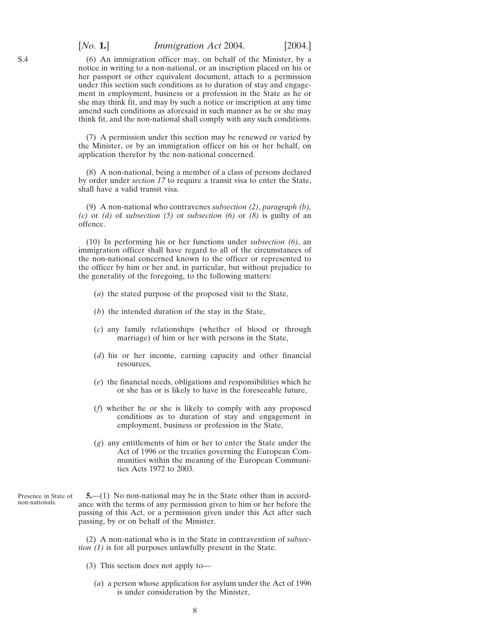### <span id="page-7-0"></span>[*No.* **1.**] *Immigration Act* 2004. [2004.]

(6) An immigration officer may, on behalf of the Minister, by a notice in writing to a non-national, or an inscription placed on his or her passport or other equivalent document, attach to a permission under this section such conditions as to duration of stay and engagement in employment, business or a profession in the State as he or she may think fit, and may by such a notice or inscription at any time amend such conditions as aforesaid in such manner as he or she may think fit, and the non-national shall comply with any such conditions.

(7) A permission under this section may be renewed or varied by the Minister, or by an immigration officer on his or her behalf, on application therefor by the non-national concerned.

(8) A non-national, being a member of a class of persons declared by order under *section 17* to require a transit visa to enter the State, shall have a valid transit visa.

(9) A non-national who contravenes *subsection (2)*, *paragraph (b), (c)* or *(d)* of *subsection (5)* or *subsection (6)* or *(8)* is guilty of an offence.

(10) In performing his or her functions under *subsection (6)*, an immigration officer shall have regard to all of the circumstances of the non-national concerned known to the officer or represented to the officer by him or her and, in particular, but without prejudice to the generality of the foregoing, to the following matters:

- (*a*) the stated purpose of the proposed visit to the State,
- (*b*) the intended duration of the stay in the State,
- (*c*) any family relationships (whether of blood or through marriage) of him or her with persons in the State,
- (*d*) his or her income, earning capacity and other financial resources,
- (*e*) the financial needs, obligations and responsibilities which he or she has or is likely to have in the foreseeable future,
- (*f*) whether he or she is likely to comply with any proposed conditions as to duration of stay and engagement in employment, business or profession in the State,
- (*g*) any entitlements of him or her to enter the State under the Act of 1996 or the treaties governing the European Communities within the meaning of the European Communities Acts 1972 to 2003.
- Presence in State of non-nationals. **5.**—(1) No non-national may be in the State other than in accordance with the terms of any permission given to him or her before the passing of this Act, or a permission given under this Act after such passing, by or on behalf of the Minister.

(2) A non-national who is in the State in contravention of *subsection (1)* is for all purposes unlawfully present in the State.

- (3) This section does not apply to—
	- (*a*) a person whose application for asylum under the Act of 1996 is under consideration by the Minister,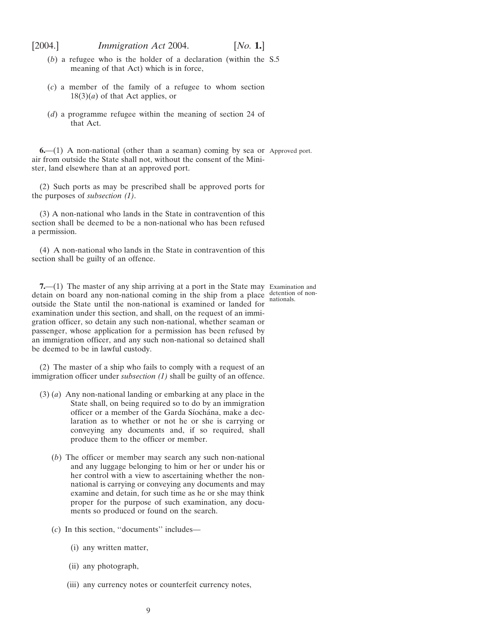<span id="page-8-0"></span>[2004.] *Immigration Act* 2004. [*No.* **1.**]

- (*b*) a refugee who is the holder of a declaration (within the S.5 meaning of that Act) which is in force,
- (*c*) a member of the family of a refugee to whom section  $18(3)(a)$  of that Act applies, or
- (*d*) a programme refugee within the meaning of section 24 of that Act.

**6.**—(1) A non-national (other than a seaman) coming by sea or Approved port. air from outside the State shall not, without the consent of the Minister, land elsewhere than at an approved port.

(2) Such ports as may be prescribed shall be approved ports for the purposes of *subsection (1)*.

(3) A non-national who lands in the State in contravention of this section shall be deemed to be a non-national who has been refused a permission.

(4) A non-national who lands in the State in contravention of this section shall be guilty of an offence.

**7.**—(1) The master of any ship arriving at a port in the State may Examination and detain on board any non-national coming in the ship from a place detention of nonoutside the State until the non-national is examined or landed for examination under this section, and shall, on the request of an immigration officer, so detain any such non-national, whether seaman or passenger, whose application for a permission has been refused by an immigration officer, and any such non-national so detained shall be deemed to be in lawful custody.

(2) The master of a ship who fails to comply with a request of an immigration officer under *subsection (1)* shall be guilty of an offence.

- (3) (*a*) Any non-national landing or embarking at any place in the State shall, on being required so to do by an immigration officer or a member of the Garda Síochána, make a declaration as to whether or not he or she is carrying or conveying any documents and, if so required, shall produce them to the officer or member.
	- (*b*) The officer or member may search any such non-national and any luggage belonging to him or her or under his or her control with a view to ascertaining whether the nonnational is carrying or conveying any documents and may examine and detain, for such time as he or she may think proper for the purpose of such examination, any documents so produced or found on the search.
	- (*c*) In this section, ''documents'' includes—
		- (i) any written matter,
		- (ii) any photograph,
		- (iii) any currency notes or counterfeit currency notes,

nationals.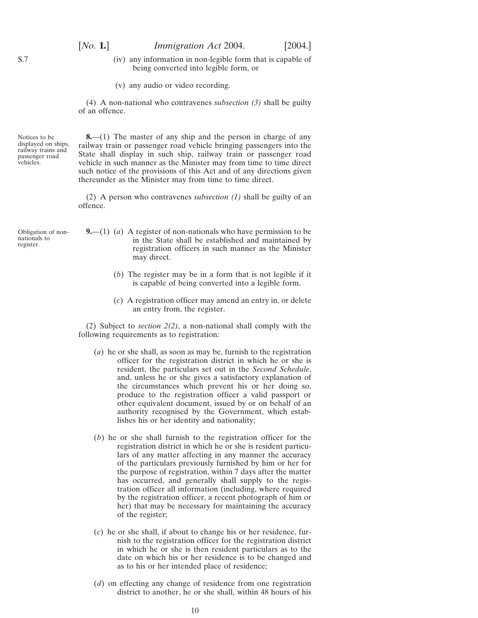<span id="page-9-0"></span>(iv) any information in non-legible form that is capable of being converted into legible form, or

(v) any audio or video recording.

(4) A non-national who contravenes *subsection (3)* shall be guilty of an offence.

Notices to be displayed on ships, railway trains and passenger road vehicles.

**8.**—(1) The master of any ship and the person in charge of any railway train or passenger road vehicle bringing passengers into the State shall display in such ship, railway train or passenger road vehicle in such manner as the Minister may from time to time direct such notice of the provisions of this Act and of any directions given thereunder as the Minister may from time to time direct.

(2) A person who contravenes *subsection (1)* shall be guilty of an offence.

- Obligation of nonnationals to register.
- **9.**—(1) (*a*) A register of non-nationals who have permission to be in the State shall be established and maintained by registration officers in such manner as the Minister may direct.
	- (*b*) The register may be in a form that is not legible if it is capable of being converted into a legible form.
	- (*c*) A registration officer may amend an entry in, or delete an entry from, the register.

(2) Subject to *section 2(2)*, a non-national shall comply with the following requirements as to registration:

- (*a*) he or she shall, as soon as may be, furnish to the registration officer for the registration district in which he or she is resident, the particulars set out in the *Second Schedule*, and, unless he or she gives a satisfactory explanation of the circumstances which prevent his or her doing so, produce to the registration officer a valid passport or other equivalent document, issued by or on behalf of an authority recognised by the Government, which establishes his or her identity and nationality;
- (*b*) he or she shall furnish to the registration officer for the registration district in which he or she is resident particulars of any matter affecting in any manner the accuracy of the particulars previously furnished by him or her for the purpose of registration, within 7 days after the matter has occurred, and generally shall supply to the registration officer all information (including, where required by the registration officer, a recent photograph of him or her) that may be necessary for maintaining the accuracy of the register;
- (*c*) he or she shall, if about to change his or her residence, furnish to the registration officer for the registration district in which he or she is then resident particulars as to the date on which his or her residence is to be changed and as to his or her intended place of residence;
- (*d*) on effecting any change of residence from one registration district to another, he or she shall, within 48 hours of his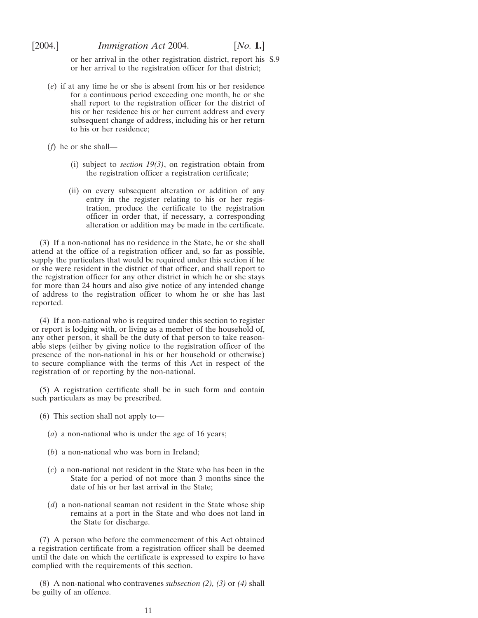or her arrival in the other registration district, report his S.9 or her arrival to the registration officer for that district;

(*e*) if at any time he or she is absent from his or her residence for a continuous period exceeding one month, he or she shall report to the registration officer for the district of his or her residence his or her current address and every subsequent change of address, including his or her return to his or her residence;

(*f*) he or she shall—

- (i) subject to *section 19(3)*, on registration obtain from the registration officer a registration certificate;
- (ii) on every subsequent alteration or addition of any entry in the register relating to his or her registration, produce the certificate to the registration officer in order that, if necessary, a corresponding alteration or addition may be made in the certificate.

(3) If a non-national has no residence in the State, he or she shall attend at the office of a registration officer and, so far as possible, supply the particulars that would be required under this section if he or she were resident in the district of that officer, and shall report to the registration officer for any other district in which he or she stays for more than 24 hours and also give notice of any intended change of address to the registration officer to whom he or she has last reported.

(4) If a non-national who is required under this section to register or report is lodging with, or living as a member of the household of, any other person, it shall be the duty of that person to take reasonable steps (either by giving notice to the registration officer of the presence of the non-national in his or her household or otherwise) to secure compliance with the terms of this Act in respect of the registration of or reporting by the non-national.

(5) A registration certificate shall be in such form and contain such particulars as may be prescribed.

- (6) This section shall not apply to—
	- (*a*) a non-national who is under the age of 16 years;
	- (*b*) a non-national who was born in Ireland;
	- (*c*) a non-national not resident in the State who has been in the State for a period of not more than 3 months since the date of his or her last arrival in the State;
	- (*d*) a non-national seaman not resident in the State whose ship remains at a port in the State and who does not land in the State for discharge.

(7) A person who before the commencement of this Act obtained a registration certificate from a registration officer shall be deemed until the date on which the certificate is expressed to expire to have complied with the requirements of this section.

(8) A non-national who contravenes *subsection (2), (3)* or *(4)* shall be guilty of an offence.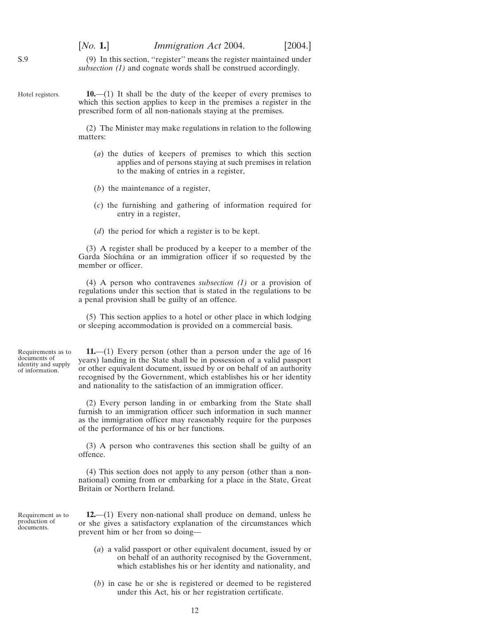(9) In this section, ''register'' means the register maintained under *subsection (1)* and cognate words shall be construed accordingly.

<span id="page-11-0"></span>Hotel registers.

**10.**—(1) It shall be the duty of the keeper of every premises to which this section applies to keep in the premises a register in the prescribed form of all non-nationals staying at the premises.

(2) The Minister may make regulations in relation to the following matters:

- (*a*) the duties of keepers of premises to which this section applies and of persons staying at such premises in relation to the making of entries in a register,
- (*b*) the maintenance of a register,
- (*c*) the furnishing and gathering of information required for entry in a register,
- (*d*) the period for which a register is to be kept.

(3) A register shall be produced by a keeper to a member of the Garda Síochána or an immigration officer if so requested by the member or officer.

(4) A person who contravenes *subsection (1)* or a provision of regulations under this section that is stated in the regulations to be a penal provision shall be guilty of an offence.

(5) This section applies to a hotel or other place in which lodging or sleeping accommodation is provided on a commercial basis.

Requirements as to documents of identity and supply of information.

**11.**—(1) Every person (other than a person under the age of 16 years) landing in the State shall be in possession of a valid passport or other equivalent document, issued by or on behalf of an authority recognised by the Government, which establishes his or her identity and nationality to the satisfaction of an immigration officer.

(2) Every person landing in or embarking from the State shall furnish to an immigration officer such information in such manner as the immigration officer may reasonably require for the purposes of the performance of his or her functions.

(3) A person who contravenes this section shall be guilty of an offence.

(4) This section does not apply to any person (other than a nonnational) coming from or embarking for a place in the State, Great Britain or Northern Ireland.

Requirement as to production of documents.

**12.**—(1) Every non-national shall produce on demand, unless he or she gives a satisfactory explanation of the circumstances which prevent him or her from so doing—

- (*a*) a valid passport or other equivalent document, issued by or on behalf of an authority recognised by the Government, which establishes his or her identity and nationality, and
- (*b*) in case he or she is registered or deemed to be registered under this Act, his or her registration certificate.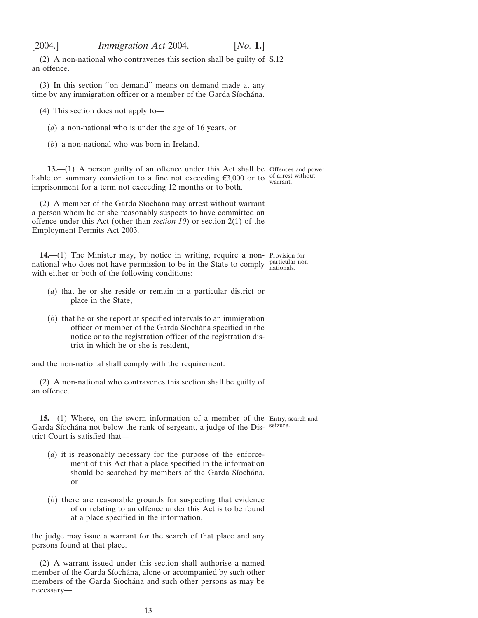<span id="page-12-0"></span>[2004.] *Immigration Act* 2004. [*No.* **1.**]

(2) A non-national who contravenes this section shall be guilty of S.12 an offence.

(3) In this section ''on demand'' means on demand made at any time by any immigration officer or a member of the Garda Síochána.

(4) This section does not apply to—

(*a*) a non-national who is under the age of 16 years, or

(*b*) a non-national who was born in Ireland.

**13.**—(1) A person guilty of an offence under this Act shall be Offences and power liable on summary conviction to a fine not exceeding  $\xi$ 3,000 or to  $\frac{\text{of arrest without warrant}}{\text{warmt}}$ . imprisonment for a term not exceeding 12 months or to both.

(2) A member of the Garda Síochána may arrest without warrant a person whom he or she reasonably suspects to have committed an offence under this Act (other than *section 10*) or section 2(1) of the Employment Permits Act 2003.

**14.**—(1) The Minister may, by notice in writing, require a non-Provision for national who does not have permission to be in the State to comply particular nonwith either or both of the following conditions: nationals.

- (*a*) that he or she reside or remain in a particular district or place in the State,
- (*b*) that he or she report at specified intervals to an immigration officer or member of the Garda Síochána specified in the notice or to the registration officer of the registration district in which he or she is resident,

and the non-national shall comply with the requirement.

(2) A non-national who contravenes this section shall be guilty of an offence.

**15.**—(1) Where, on the sworn information of a member of the Entry, search and Garda Síochána not below the rank of sergeant, a judge of the Dis- seizure. trict Court is satisfied that—

- (*a*) it is reasonably necessary for the purpose of the enforcement of this Act that a place specified in the information should be searched by members of the Garda Síochána, or
- (*b*) there are reasonable grounds for suspecting that evidence of or relating to an offence under this Act is to be found at a place specified in the information,

the judge may issue a warrant for the search of that place and any persons found at that place.

(2) A warrant issued under this section shall authorise a named member of the Garda Síochána, alone or accompanied by such other members of the Garda Síochána and such other persons as may be necessary—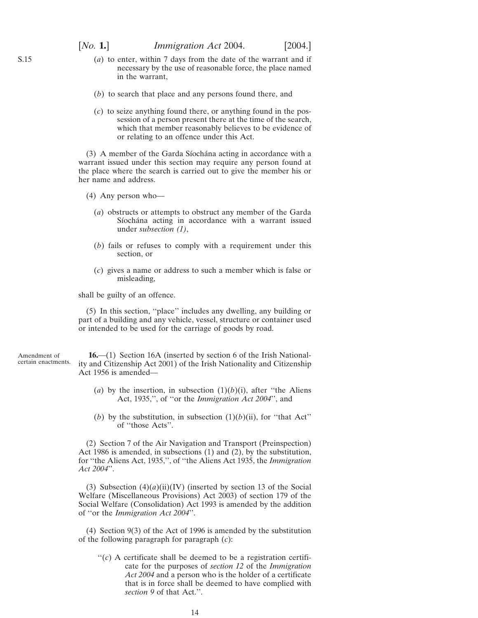- <span id="page-13-0"></span>(*a*) to enter, within 7 days from the date of the warrant and if necessary by the use of reasonable force, the place named in the warrant,
- (*b*) to search that place and any persons found there, and
- (*c*) to seize anything found there, or anything found in the possession of a person present there at the time of the search, which that member reasonably believes to be evidence of or relating to an offence under this Act.

(3) A member of the Garda Síochána acting in accordance with a warrant issued under this section may require any person found at the place where the search is carried out to give the member his or her name and address.

(4) Any person who—

- (*a*) obstructs or attempts to obstruct any member of the Garda Síochána acting in accordance with a warrant issued under *subsection (1)*,
- (*b*) fails or refuses to comply with a requirement under this section, or
- (*c*) gives a name or address to such a member which is false or misleading,

shall be guilty of an offence.

(5) In this section, ''place'' includes any dwelling, any building or part of a building and any vehicle, vessel, structure or container used or intended to be used for the carriage of goods by road.

Amendment of certain enactments.

**16.**—(1) Section 16A (inserted by section 6 of the Irish Nationality and Citizenship Act 2001) of the Irish Nationality and Citizenship Act 1956 is amended—

- (*a*) by the insertion, in subsection  $(1)(b)(i)$ , after "the Aliens" Act, 1935,'', of ''or the *Immigration Act 2004*'', and
- (*b*) by the substitution, in subsection  $(1)(b)(ii)$ , for "that Act" of ''those Acts''.

(2) Section 7 of the Air Navigation and Transport (Preinspection) Act 1986 is amended, in subsections (1) and (2), by the substitution, for ''the Aliens Act, 1935,'', of ''the Aliens Act 1935, the *Immigration Act 2004*''.

(3) Subsection  $(4)(a)(ii)(IV)$  (inserted by section 13 of the Social Welfare (Miscellaneous Provisions) Act 2003) of section 179 of the Social Welfare (Consolidation) Act 1993 is amended by the addition of ''or the *Immigration Act 2004*''.

(4) Section 9(3) of the Act of 1996 is amended by the substitution of the following paragraph for paragraph (*c*):

 $\lq$ <sup>'</sup>(*c*) A certificate shall be deemed to be a registration certificate for the purposes of *section 12* of the *Immigration Act 2004* and a person who is the holder of a certificate that is in force shall be deemed to have complied with *section 9* of that Act.''.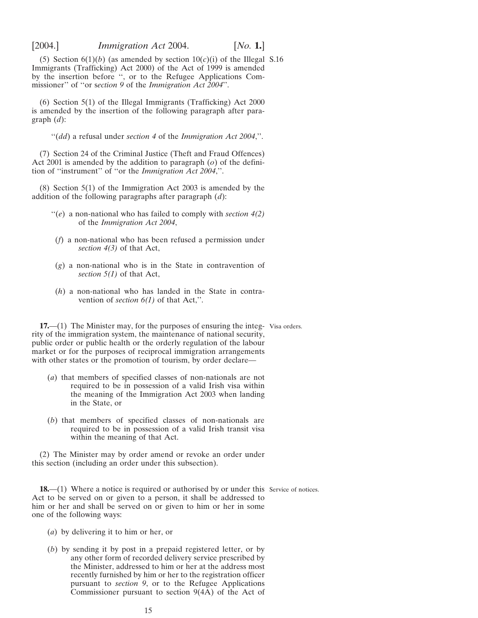<span id="page-14-0"></span>

(5) Section  $6(1)(b)$  (as amended by section  $10(c)(i)$  of the Illegal S.16 Immigrants (Trafficking) Act 2000) of the Act of 1999 is amended by the insertion before '', or to the Refugee Applications Commissioner'' of ''or s*ection 9* of the *Immigration Act 2004*''.

(6) Section 5(1) of the Illegal Immigrants (Trafficking) Act 2000 is amended by the insertion of the following paragraph after paragraph (*d*):

''(*dd*) a refusal under *section 4* of the *Immigration Act 2004*,''.

(7) Section 24 of the Criminal Justice (Theft and Fraud Offences) Act 2001 is amended by the addition to paragraph (*o*) of the definition of ''instrument'' of ''or the *Immigration Act 2004*,''.

(8) Section 5(1) of the Immigration Act 2003 is amended by the addition of the following paragraphs after paragraph (*d*):

- ''(*e*) a non-national who has failed to comply with *section 4(2)* of the *Immigration Act 2004*,
- (*f*) a non-national who has been refused a permission under *section 4(3)* of that Act,
- (*g*) a non-national who is in the State in contravention of *section 5(1)* of that Act,
- (*h*) a non-national who has landed in the State in contravention of *section 6(1)* of that Act,''.

**17.**—(1) The Minister may, for the purposes of ensuring the integ-Visa orders. rity of the immigration system, the maintenance of national security, public order or public health or the orderly regulation of the labour market or for the purposes of reciprocal immigration arrangements with other states or the promotion of tourism, by order declare—

- (*a*) that members of specified classes of non-nationals are not required to be in possession of a valid Irish visa within the meaning of the Immigration Act 2003 when landing in the State, or
- (*b*) that members of specified classes of non-nationals are required to be in possession of a valid Irish transit visa within the meaning of that Act.

(2) The Minister may by order amend or revoke an order under this section (including an order under this subsection).

**18.**—(1) Where a notice is required or authorised by or under this Service of notices. Act to be served on or given to a person, it shall be addressed to him or her and shall be served on or given to him or her in some one of the following ways:

- (*a*) by delivering it to him or her, or
- (*b*) by sending it by post in a prepaid registered letter, or by any other form of recorded delivery service prescribed by the Minister, addressed to him or her at the address most recently furnished by him or her to the registration officer pursuant to *section 9*, or to the Refugee Applications Commissioner pursuant to section 9(4A) of the Act of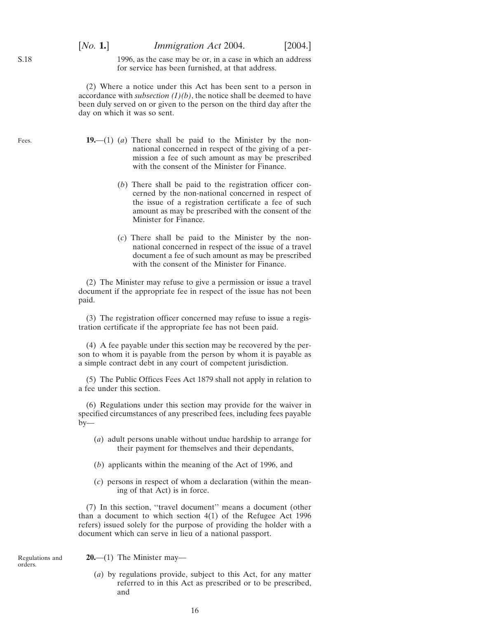1996, as the case may be or, in a case in which an address for service has been furnished, at that address.

(2) Where a notice under this Act has been sent to a person in accordance with *subsection*  $(1)(b)$ , the notice shall be deemed to have been duly served on or given to the person on the third day after the day on which it was so sent.

- **19.**—(1) (*a*) There shall be paid to the Minister by the nonnational concerned in respect of the giving of a permission a fee of such amount as may be prescribed with the consent of the Minister for Finance.
	- (*b*) There shall be paid to the registration officer concerned by the non-national concerned in respect of the issue of a registration certificate a fee of such amount as may be prescribed with the consent of the Minister for Finance.
	- (*c*) There shall be paid to the Minister by the nonnational concerned in respect of the issue of a travel document a fee of such amount as may be prescribed with the consent of the Minister for Finance.

(2) The Minister may refuse to give a permission or issue a travel document if the appropriate fee in respect of the issue has not been paid.

(3) The registration officer concerned may refuse to issue a registration certificate if the appropriate fee has not been paid.

(4) A fee payable under this section may be recovered by the person to whom it is payable from the person by whom it is payable as a simple contract debt in any court of competent jurisdiction.

(5) The Public Offices Fees Act 1879 shall not apply in relation to a fee under this section.

(6) Regulations under this section may provide for the waiver in specified circumstances of any prescribed fees, including fees payable  $by-$ 

- (*a*) adult persons unable without undue hardship to arrange for their payment for themselves and their dependants,
- (*b*) applicants within the meaning of the Act of 1996, and
- (*c*) persons in respect of whom a declaration (within the meaning of that Act) is in force.

(7) In this section, ''travel document'' means a document (other than a document to which section 4(1) of the Refugee Act 1996 refers) issued solely for the purpose of providing the holder with a document which can serve in lieu of a national passport.

Regulations and orders.

**20.**—(1) The Minister may—

(*a*) by regulations provide, subject to this Act, for any matter referred to in this Act as prescribed or to be prescribed, and

<span id="page-15-0"></span>S.18

Fees.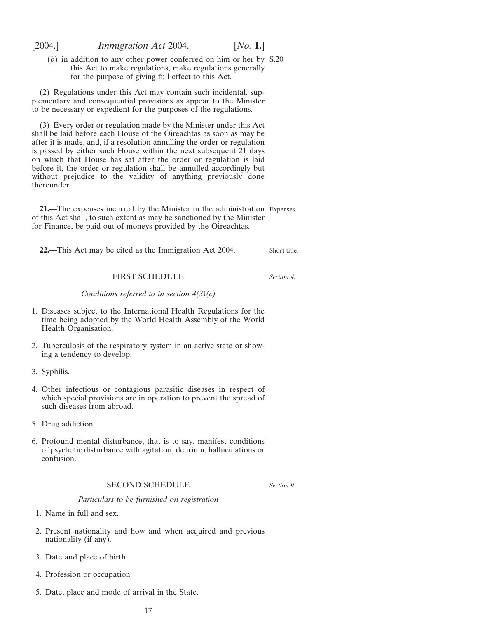<span id="page-16-0"></span>

(*b*) in addition to any other power conferred on him or her by S.20 this Act to make regulations, make regulations generally for the purpose of giving full effect to this Act.

(2) Regulations under this Act may contain such incidental, supplementary and consequential provisions as appear to the Minister to be necessary or expedient for the purposes of the regulations.

(3) Every order or regulation made by the Minister under this Act shall be laid before each House of the Oireachtas as soon as may be after it is made, and, if a resolution annulling the order or regulation is passed by either such House within the next subsequent 21 days on which that House has sat after the order or regulation is laid before it, the order or regulation shall be annulled accordingly but without prejudice to the validity of anything previously done thereunder.

**21.**—The expenses incurred by the Minister in the administration Expenses. of this Act shall, to such extent as may be sanctioned by the Minister for Finance, be paid out of moneys provided by the Oireachtas.

**22.**—This Act may be cited as the Immigration Act 2004. Short title.

## FIRST SCHEDULE

*Conditions referred to in section 4(3)(c)*

- 1. Diseases subject to the International Health Regulations for the time being adopted by the World Health Assembly of the World Health Organisation.
- 2. Tuberculosis of the respiratory system in an active state or showing a tendency to develop.
- 3. Syphilis.
- 4. Other infectious or contagious parasitic diseases in respect of which special provisions are in operation to prevent the spread of such diseases from abroad.
- 5. Drug addiction.
- 6. Profound mental disturbance, that is to say, manifest conditions of psychotic disturbance with agitation, delirium, hallucinations or confusion.

### SECOND SCHEDULE

*Section 9.*

*Section 4.*

*Particulars to be furnished on registration*

- 1. Name in full and sex.
- 2. Present nationality and how and when acquired and previous nationality (if any).
- 3. Date and place of birth.
- 4. Profession or occupation.
- 5. Date, place and mode of arrival in the State.